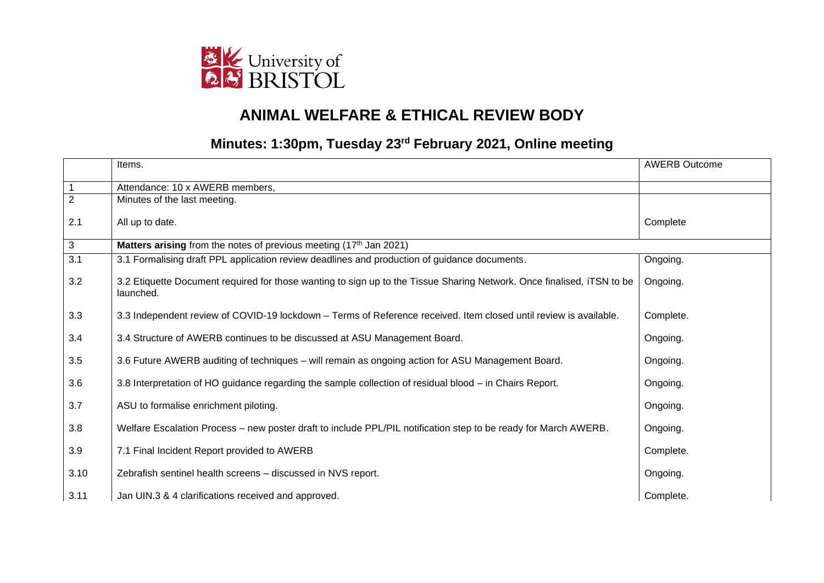

## **ANIMAL WELFARE & ETHICAL REVIEW BODY**

## **Minutes: 1:30pm, Tuesday 23rd February 2021, Online meeting**

|                | Items.                                                                                                                              | <b>AWERB Outcome</b> |
|----------------|-------------------------------------------------------------------------------------------------------------------------------------|----------------------|
| $\mathbf{1}$   | Attendance: 10 x AWERB members,                                                                                                     |                      |
| $\overline{2}$ | Minutes of the last meeting.                                                                                                        |                      |
| 2.1            | All up to date.                                                                                                                     | Complete             |
| $\mathbf{3}$   | Matters arising from the notes of previous meeting (17th Jan 2021)                                                                  |                      |
| 3.1            | 3.1 Formalising draft PPL application review deadlines and production of guidance documents.                                        | Ongoing.             |
| 3.2            | 3.2 Etiquette Document required for those wanting to sign up to the Tissue Sharing Network. Once finalised, iTSN to be<br>launched. | Ongoing.             |
| 3.3            | 3.3 Independent review of COVID-19 lockdown - Terms of Reference received. Item closed until review is available.                   | Complete.            |
| 3.4            | 3.4 Structure of AWERB continues to be discussed at ASU Management Board.                                                           | Ongoing.             |
| 3.5            | 3.6 Future AWERB auditing of techniques - will remain as ongoing action for ASU Management Board.                                   | Ongoing.             |
| 3.6            | 3.8 Interpretation of HO guidance regarding the sample collection of residual blood – in Chairs Report.                             | Ongoing.             |
| 3.7            | ASU to formalise enrichment piloting.                                                                                               | Ongoing.             |
| 3.8            | Welfare Escalation Process – new poster draft to include PPL/PIL notification step to be ready for March AWERB.                     | Ongoing.             |
| 3.9            | 7.1 Final Incident Report provided to AWERB                                                                                         | Complete.            |
| 3.10           | Zebrafish sentinel health screens - discussed in NVS report.                                                                        | Ongoing.             |
| 3.11           | Jan UIN.3 & 4 clarifications received and approved.                                                                                 | Complete.            |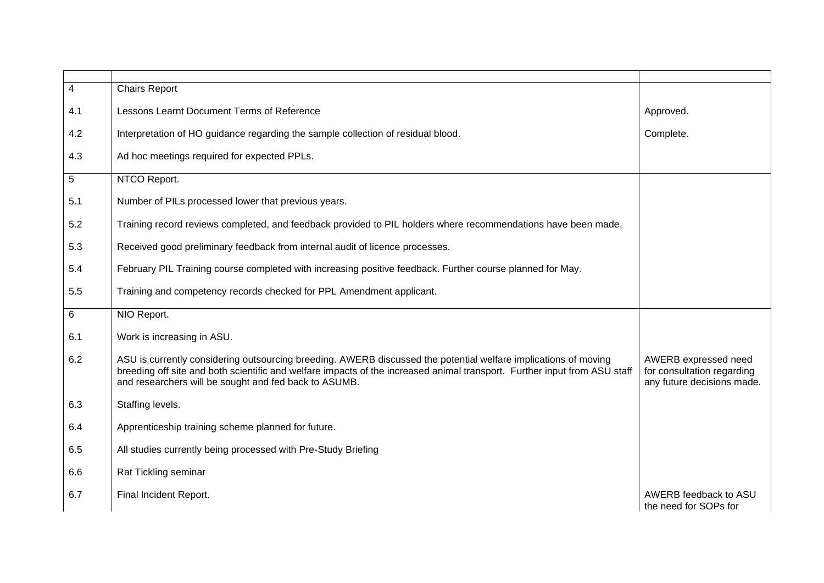| $\overline{4}$ | <b>Chairs Report</b>                                                                                                                                                                                                                                                                                  |                                                                                  |
|----------------|-------------------------------------------------------------------------------------------------------------------------------------------------------------------------------------------------------------------------------------------------------------------------------------------------------|----------------------------------------------------------------------------------|
| 4.1            | Lessons Learnt Document Terms of Reference                                                                                                                                                                                                                                                            | Approved.                                                                        |
| 4.2            | Interpretation of HO guidance regarding the sample collection of residual blood.                                                                                                                                                                                                                      | Complete.                                                                        |
| 4.3            | Ad hoc meetings required for expected PPLs.                                                                                                                                                                                                                                                           |                                                                                  |
| $\overline{5}$ | NTCO Report.                                                                                                                                                                                                                                                                                          |                                                                                  |
| 5.1            | Number of PILs processed lower that previous years.                                                                                                                                                                                                                                                   |                                                                                  |
| 5.2            | Training record reviews completed, and feedback provided to PIL holders where recommendations have been made.                                                                                                                                                                                         |                                                                                  |
| 5.3            | Received good preliminary feedback from internal audit of licence processes.                                                                                                                                                                                                                          |                                                                                  |
| 5.4            | February PIL Training course completed with increasing positive feedback. Further course planned for May.                                                                                                                                                                                             |                                                                                  |
| 5.5            | Training and competency records checked for PPL Amendment applicant.                                                                                                                                                                                                                                  |                                                                                  |
| 6              | NIO Report.                                                                                                                                                                                                                                                                                           |                                                                                  |
| 6.1            | Work is increasing in ASU.                                                                                                                                                                                                                                                                            |                                                                                  |
| 6.2            | ASU is currently considering outsourcing breeding. AWERB discussed the potential welfare implications of moving<br>breeding off site and both scientific and welfare impacts of the increased animal transport. Further input from ASU staff<br>and researchers will be sought and fed back to ASUMB. | AWERB expressed need<br>for consultation regarding<br>any future decisions made. |
| 6.3            | Staffing levels.                                                                                                                                                                                                                                                                                      |                                                                                  |
| 6.4            | Apprenticeship training scheme planned for future.                                                                                                                                                                                                                                                    |                                                                                  |
| 6.5            | All studies currently being processed with Pre-Study Briefing                                                                                                                                                                                                                                         |                                                                                  |
| 6.6            | Rat Tickling seminar                                                                                                                                                                                                                                                                                  |                                                                                  |
| 6.7            | Final Incident Report.                                                                                                                                                                                                                                                                                | AWERB feedback to ASU<br>the need for SOPs for                                   |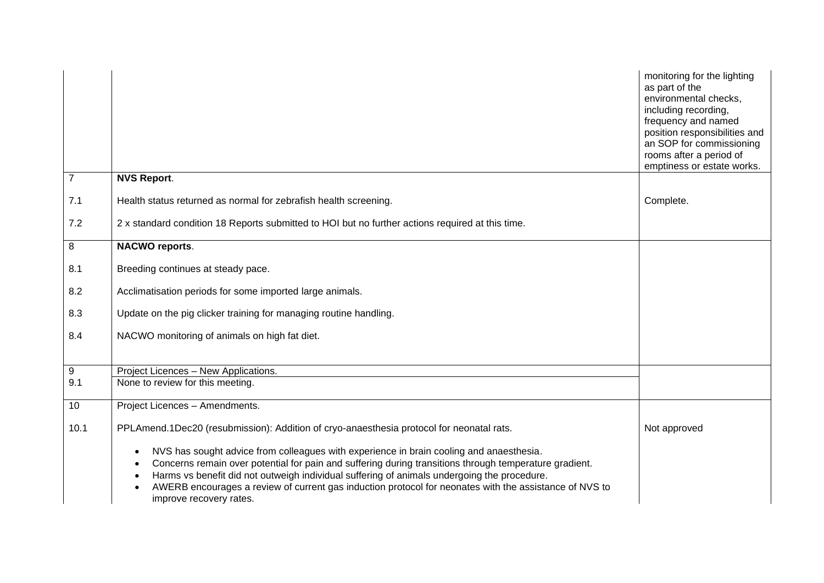|                |                                                                                                                                                                                                                                                                                                                                                                                                                                                                              | monitoring for the lighting<br>as part of the<br>environmental checks,<br>including recording,<br>frequency and named<br>position responsibilities and<br>an SOP for commissioning<br>rooms after a period of<br>emptiness or estate works. |
|----------------|------------------------------------------------------------------------------------------------------------------------------------------------------------------------------------------------------------------------------------------------------------------------------------------------------------------------------------------------------------------------------------------------------------------------------------------------------------------------------|---------------------------------------------------------------------------------------------------------------------------------------------------------------------------------------------------------------------------------------------|
| $\overline{7}$ | <b>NVS Report.</b>                                                                                                                                                                                                                                                                                                                                                                                                                                                           |                                                                                                                                                                                                                                             |
| 7.1            | Health status returned as normal for zebrafish health screening.                                                                                                                                                                                                                                                                                                                                                                                                             | Complete.                                                                                                                                                                                                                                   |
| 7.2            | 2 x standard condition 18 Reports submitted to HOI but no further actions required at this time.                                                                                                                                                                                                                                                                                                                                                                             |                                                                                                                                                                                                                                             |
| 8              | <b>NACWO reports.</b>                                                                                                                                                                                                                                                                                                                                                                                                                                                        |                                                                                                                                                                                                                                             |
| 8.1            | Breeding continues at steady pace.                                                                                                                                                                                                                                                                                                                                                                                                                                           |                                                                                                                                                                                                                                             |
| 8.2            | Acclimatisation periods for some imported large animals.                                                                                                                                                                                                                                                                                                                                                                                                                     |                                                                                                                                                                                                                                             |
| 8.3            | Update on the pig clicker training for managing routine handling.                                                                                                                                                                                                                                                                                                                                                                                                            |                                                                                                                                                                                                                                             |
| 8.4            | NACWO monitoring of animals on high fat diet.                                                                                                                                                                                                                                                                                                                                                                                                                                |                                                                                                                                                                                                                                             |
|                |                                                                                                                                                                                                                                                                                                                                                                                                                                                                              |                                                                                                                                                                                                                                             |
| 9              | Project Licences - New Applications.                                                                                                                                                                                                                                                                                                                                                                                                                                         |                                                                                                                                                                                                                                             |
| 9.1            | None to review for this meeting.                                                                                                                                                                                                                                                                                                                                                                                                                                             |                                                                                                                                                                                                                                             |
| 10             | Project Licences - Amendments.                                                                                                                                                                                                                                                                                                                                                                                                                                               |                                                                                                                                                                                                                                             |
| 10.1           | PPLAmend.1Dec20 (resubmission): Addition of cryo-anaesthesia protocol for neonatal rats.                                                                                                                                                                                                                                                                                                                                                                                     | Not approved                                                                                                                                                                                                                                |
|                | NVS has sought advice from colleagues with experience in brain cooling and anaesthesia.<br>$\bullet$<br>Concerns remain over potential for pain and suffering during transitions through temperature gradient.<br>$\bullet$<br>Harms vs benefit did not outweigh individual suffering of animals undergoing the procedure.<br>$\bullet$<br>AWERB encourages a review of current gas induction protocol for neonates with the assistance of NVS to<br>improve recovery rates. |                                                                                                                                                                                                                                             |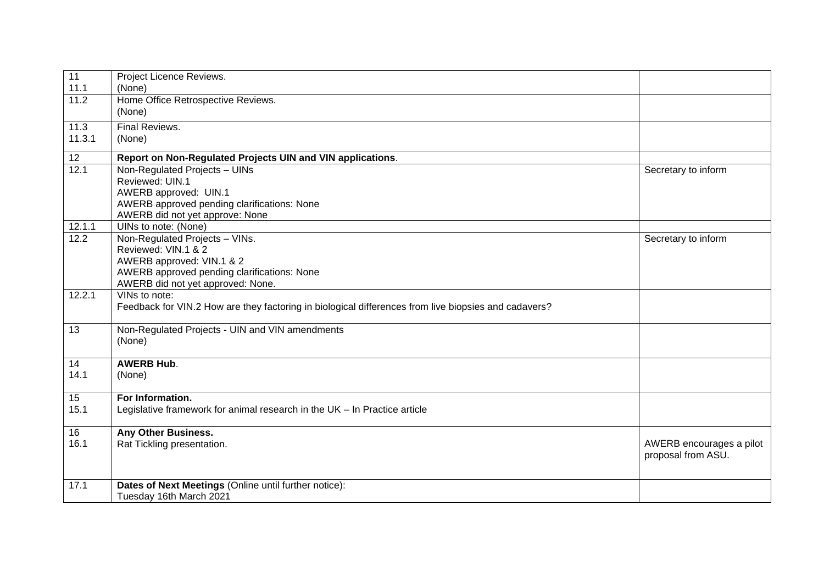| $\overline{11}$<br>11.1 | Project Licence Reviews.<br>(None)                                                                   |                          |
|-------------------------|------------------------------------------------------------------------------------------------------|--------------------------|
| 11.2                    | Home Office Retrospective Reviews.                                                                   |                          |
|                         | (None)                                                                                               |                          |
|                         |                                                                                                      |                          |
| 11.3                    | Final Reviews.                                                                                       |                          |
| 11.3.1                  | (None)                                                                                               |                          |
| 12                      | Report on Non-Regulated Projects UIN and VIN applications.                                           |                          |
| 12.1                    | Non-Regulated Projects - UINs                                                                        | Secretary to inform      |
|                         | Reviewed: UIN.1                                                                                      |                          |
|                         | AWERB approved: UIN.1                                                                                |                          |
|                         | AWERB approved pending clarifications: None                                                          |                          |
|                         | AWERB did not yet approve: None                                                                      |                          |
| 12.1.1                  | UINs to note: (None)                                                                                 |                          |
| 12.2                    | Non-Regulated Projects - VINs.                                                                       | Secretary to inform      |
|                         | Reviewed: VIN.1 & 2                                                                                  |                          |
|                         | AWERB approved: VIN.1 & 2                                                                            |                          |
|                         | AWERB approved pending clarifications: None                                                          |                          |
|                         | AWERB did not yet approved: None.                                                                    |                          |
| 12.2.1                  | VINs to note:                                                                                        |                          |
|                         | Feedback for VIN.2 How are they factoring in biological differences from live biopsies and cadavers? |                          |
|                         |                                                                                                      |                          |
| 13                      | Non-Regulated Projects - UIN and VIN amendments                                                      |                          |
|                         | (None)                                                                                               |                          |
|                         |                                                                                                      |                          |
| 14                      | <b>AWERB Hub.</b>                                                                                    |                          |
| 14.1                    | (None)                                                                                               |                          |
|                         |                                                                                                      |                          |
| 15                      | For Information.                                                                                     |                          |
| 15.1                    | Legislative framework for animal research in the UK - In Practice article                            |                          |
|                         |                                                                                                      |                          |
| 16                      | Any Other Business.                                                                                  |                          |
| 16.1                    | Rat Tickling presentation.                                                                           | AWERB encourages a pilot |
|                         |                                                                                                      | proposal from ASU.       |
|                         |                                                                                                      |                          |
| 17.1                    | Dates of Next Meetings (Online until further notice):                                                |                          |
|                         | Tuesday 16th March 2021                                                                              |                          |
|                         |                                                                                                      |                          |